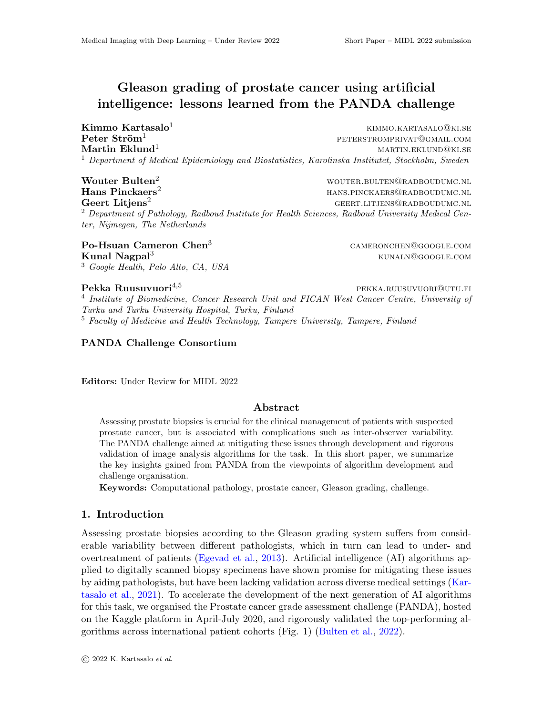# Gleason grading of prostate cancer using artificial intelligence: lessons learned from the PANDA challenge

 $\textbf{Kimmo Kartasalo}^1$  kimmo.kartasalo<sup>1</sup>  $\rm{Peter~Str\ddot{o}m^1} \hspace{2cm} \rm{per} \hspace{2cm} \rm{per} \hspace{2cm} \rm{per} \hspace{2cm} \rm{vers}$ **Martin Eklund**<sup>1</sup> martin.eklunden martin.eklunden martin.eklunden martin.eklunden martin.ek <sup>1</sup> Department of Medical Epidemiology and Biostatistics, Karolinska Institutet, Stockholm, Sweden

Wouter Bulten<sup>2</sup> wouter.bulten@radboudumc.nl Hans Pinckaers<sup>2</sup> hans.pinckaers@radboudumc.nl  $\text{Geert Litjens}^2$  geert.LITJENS@RADBOUDUMC.NL <sup>2</sup> Department of Pathology, Radboud Institute for Health Sciences, Radboud University Medical Center, Nijmegen, The Netherlands

Po-Hsuan Cameron Chen<sup>3</sup> cameronchen@google.com **Kunal Nagpal<sup>3</sup>** kunaln@google.com <sup>3</sup> Google Health, Palo Alto, CA, USA

# **Pekka Ruusuvuori** $^{4,5}$  pekka.ruusuvuori@utu.fi

<sup>4</sup> Institute of Biomedicine, Cancer Research Unit and FICAN West Cancer Centre, University of Turku and Turku University Hospital, Turku, Finland <sup>5</sup> Faculty of Medicine and Health Technology, Tampere University, Tampere, Finland

## PANDA Challenge Consortium

Editors: Under Review for MIDL 2022

## Abstract

Assessing prostate biopsies is crucial for the clinical management of patients with suspected prostate cancer, but is associated with complications such as inter-observer variability. The PANDA challenge aimed at mitigating these issues through development and rigorous validation of image analysis algorithms for the task. In this short paper, we summarize the key insights gained from PANDA from the viewpoints of algorithm development and challenge organisation.

Keywords: Computational pathology, prostate cancer, Gleason grading, challenge.

#### 1. Introduction

Assessing prostate biopsies according to the Gleason grading system suffers from considerable variability between different pathologists, which in turn can lead to under- and overtreatment of patients [\(Egevad et al.,](#page-2-0) [2013\)](#page-2-0). Artificial intelligence (AI) algorithms applied to digitally scanned biopsy specimens have shown promise for mitigating these issues by aiding pathologists, but have been lacking validation across diverse medical settings [\(Kar](#page-2-1)[tasalo et al.,](#page-2-1) [2021\)](#page-2-1). To accelerate the development of the next generation of AI algorithms for this task, we organised the Prostate cancer grade assessment challenge (PANDA), hosted on the Kaggle platform in April-July 2020, and rigorously validated the top-performing algorithms across international patient cohorts (Fig. 1) [\(Bulten et al.,](#page-2-2) [2022\)](#page-2-2).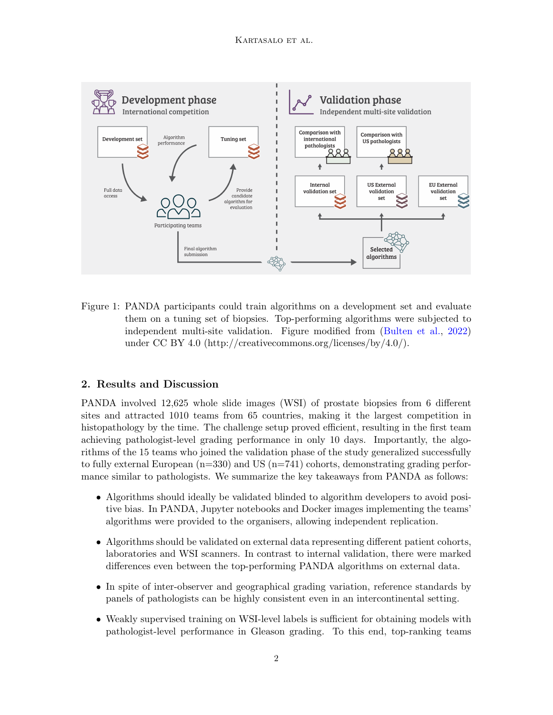

Figure 1: PANDA participants could train algorithms on a development set and evaluate them on a tuning set of biopsies. Top-performing algorithms were subjected to independent multi-site validation. Figure modified from [\(Bulten et al.,](#page-2-2) [2022\)](#page-2-2) under CC BY 4.0 (http://creativecommons.org/licenses/by/4.0/).

# 2. Results and Discussion

PANDA involved 12,625 whole slide images (WSI) of prostate biopsies from 6 different sites and attracted 1010 teams from 65 countries, making it the largest competition in histopathology by the time. The challenge setup proved efficient, resulting in the first team achieving pathologist-level grading performance in only 10 days. Importantly, the algorithms of the 15 teams who joined the validation phase of the study generalized successfully to fully external European  $(n=330)$  and US  $(n=741)$  cohorts, demonstrating grading performance similar to pathologists. We summarize the key takeaways from PANDA as follows:

- Algorithms should ideally be validated blinded to algorithm developers to avoid positive bias. In PANDA, Jupyter notebooks and Docker images implementing the teams' algorithms were provided to the organisers, allowing independent replication.
- Algorithms should be validated on external data representing different patient cohorts, laboratories and WSI scanners. In contrast to internal validation, there were marked differences even between the top-performing PANDA algorithms on external data.
- In spite of inter-observer and geographical grading variation, reference standards by panels of pathologists can be highly consistent even in an intercontinental setting.
- Weakly supervised training on WSI-level labels is sufficient for obtaining models with pathologist-level performance in Gleason grading. To this end, top-ranking teams